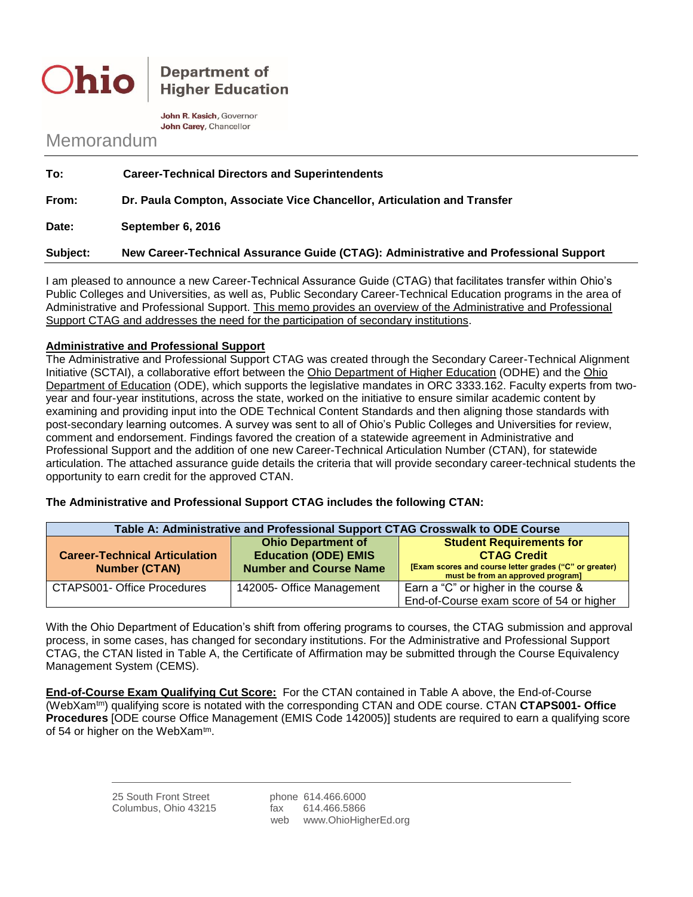**Ohio** 

**Department of Higher Education** 

John R. Kasich, Governor John Carey, Chancellor

## Memorandum

| To:      | <b>Career-Technical Directors and Superintendents</b>                                |
|----------|--------------------------------------------------------------------------------------|
| From:    | Dr. Paula Compton, Associate Vice Chancellor, Articulation and Transfer              |
| Date:    | September 6, 2016                                                                    |
| Subject: | New Career-Technical Assurance Guide (CTAG): Administrative and Professional Support |

I am pleased to announce a new Career-Technical Assurance Guide (CTAG) that facilitates transfer within Ohio's Public Colleges and Universities, as well as, Public Secondary Career-Technical Education programs in the area of Administrative and Professional Support. This memo provides an overview of the Administrative and Professional Support CTAG and addresses the need for the participation of secondary institutions.

## **Administrative and Professional Support**

The Administrative and Professional Support CTAG was created through the Secondary Career-Technical Alignment Initiative (SCTAI), a collaborative effort between the Ohio Department of Higher Education (ODHE) and the Ohio Department of Education (ODE), which supports the legislative mandates in ORC 3333.162. Faculty experts from twoyear and four-year institutions, across the state, worked on the initiative to ensure similar academic content by examining and providing input into the ODE Technical Content Standards and then aligning those standards with post-secondary learning outcomes. A survey was sent to all of Ohio's Public Colleges and Universities for review, comment and endorsement. Findings favored the creation of a statewide agreement in Administrative and Professional Support and the addition of one new Career-Technical Articulation Number (CTAN), for statewide articulation. The attached assurance guide details the criteria that will provide secondary career-technical students the opportunity to earn credit for the approved CTAN.

**The Administrative and Professional Support CTAG includes the following CTAN:**

| Table A: Administrative and Professional Support CTAG Crosswalk to ODE Course |                               |                                                                                             |  |
|-------------------------------------------------------------------------------|-------------------------------|---------------------------------------------------------------------------------------------|--|
|                                                                               | <b>Ohio Department of</b>     | <b>Student Requirements for</b>                                                             |  |
| <b>Career-Technical Articulation</b>                                          | <b>Education (ODE) EMIS</b>   | <b>CTAG Credit</b>                                                                          |  |
| <b>Number (CTAN)</b>                                                          | <b>Number and Course Name</b> | [Exam scores and course letter grades ("C" or greater)<br>must be from an approved program] |  |
| CTAPS001- Office Procedures                                                   | 142005- Office Management     | Earn a "C" or higher in the course &                                                        |  |
|                                                                               |                               | End-of-Course exam score of 54 or higher                                                    |  |

With the Ohio Department of Education's shift from offering programs to courses, the CTAG submission and approval process, in some cases, has changed for secondary institutions. For the Administrative and Professional Support CTAG, the CTAN listed in Table A, the Certificate of Affirmation may be submitted through the Course Equivalency Management System (CEMS).

**End-of-Course Exam Qualifying Cut Score:** For the CTAN contained in Table A above, the End-of-Course (WebXamtm) qualifying score is notated with the corresponding CTAN and ODE course. CTAN **CTAPS001- Office Procedures** [ODE course Office Management (EMIS Code 142005)] students are required to earn a qualifying score of 54 or higher on the WebXam<sup>tm</sup>.